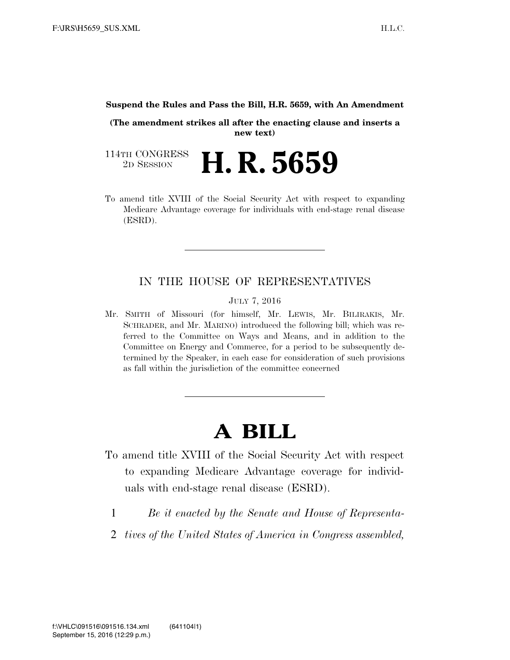## **Suspend the Rules and Pass the Bill, H.R. 5659, with An Amendment**

**(The amendment strikes all after the enacting clause and inserts a new text)** 

114TH CONGRESS<br>2D SESSION 2D SESSION **H. R. 5659**

To amend title XVIII of the Social Security Act with respect to expanding Medicare Advantage coverage for individuals with end-stage renal disease (ESRD).

## IN THE HOUSE OF REPRESENTATIVES

JULY 7, 2016

Mr. SMITH of Missouri (for himself, Mr. LEWIS, Mr. BILIRAKIS, Mr. SCHRADER, and Mr. MARINO) introduced the following bill; which was referred to the Committee on Ways and Means, and in addition to the Committee on Energy and Commerce, for a period to be subsequently determined by the Speaker, in each case for consideration of such provisions as fall within the jurisdiction of the committee concerned

## **A BILL**

- To amend title XVIII of the Social Security Act with respect to expanding Medicare Advantage coverage for individuals with end-stage renal disease (ESRD).
	- 1 *Be it enacted by the Senate and House of Representa-*
	- 2 *tives of the United States of America in Congress assembled,*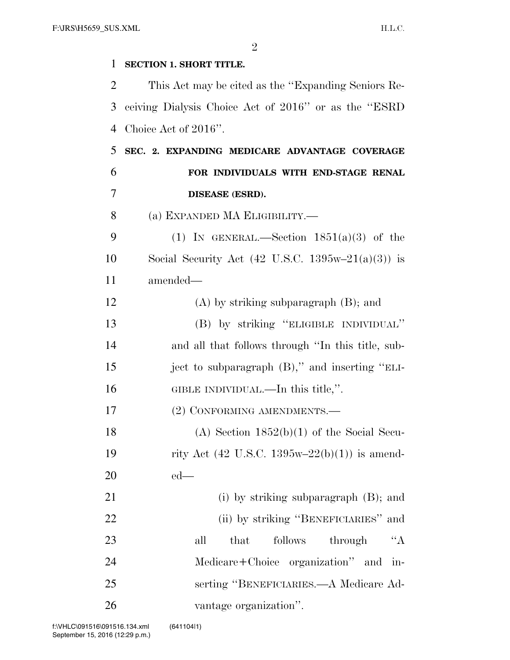| 1  | <b>SECTION 1. SHORT TITLE.</b>                                        |
|----|-----------------------------------------------------------------------|
| 2  | This Act may be cited as the "Expanding Seniors Re-                   |
| 3  | ceiving Dialysis Choice Act of 2016" or as the "ESRD"                 |
| 4  | Choice Act of 2016".                                                  |
| 5  | SEC. 2. EXPANDING MEDICARE ADVANTAGE COVERAGE                         |
| 6  | FOR INDIVIDUALS WITH END-STAGE RENAL                                  |
| 7  | DISEASE (ESRD).                                                       |
| 8  | (a) EXPANDED MA ELIGIBILITY.—                                         |
| 9  | (1) IN GENERAL.—Section $1851(a)(3)$ of the                           |
| 10 | Social Security Act $(42 \text{ U.S.C. } 1395\text{w} - 21(a)(3))$ is |
| 11 | amended—                                                              |
| 12 | $(A)$ by striking subparagraph $(B)$ ; and                            |
| 13 | (B) by striking "ELIGIBLE INDIVIDUAL"                                 |
| 14 | and all that follows through "In this title, sub-                     |
| 15 | ject to subparagraph (B)," and inserting "ELI-                        |
| 16 | GIBLE INDIVIDUAL.—In this title,".                                    |
| 17 | (2) CONFORMING AMENDMENTS.-                                           |
| 18 | (A) Section $1852(b)(1)$ of the Social Secu-                          |
| 19 | rity Act (42 U.S.C. 1395w-22(b)(1)) is amend-                         |
| 20 | $ed$ —                                                                |
| 21 | (i) by striking subparagraph $(B)$ ; and                              |
| 22 | (ii) by striking "BENEFICIARIES" and                                  |
| 23 | "A<br>follows<br>all<br>that<br>through                               |
| 24 | Medicare+Choice organization" and in-                                 |
| 25 | serting "BENEFICIARIES.—A Medicare Ad-                                |
| 26 | vantage organization".                                                |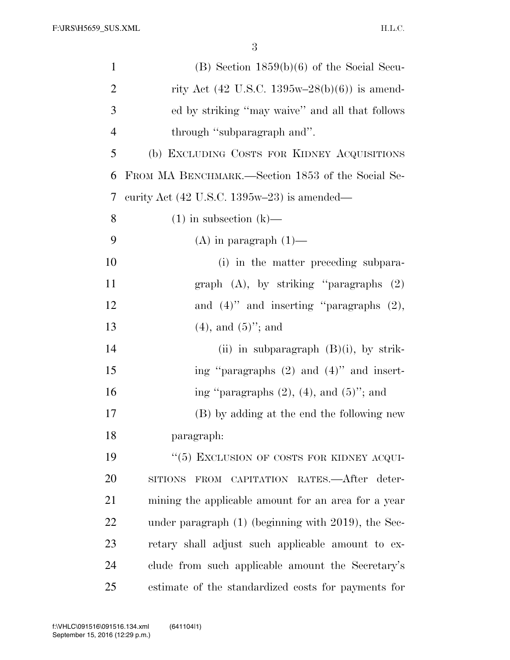| $\mathbf{1}$   | $(B)$ Section 1859(b)(6) of the Social Secu-                  |
|----------------|---------------------------------------------------------------|
| $\overline{2}$ | rity Act (42 U.S.C. 1395w-28(b)(6)) is amend-                 |
| 3              | ed by striking "may waive" and all that follows               |
| $\overline{4}$ | through "subparagraph and".                                   |
| 5              | (b) EXCLUDING COSTS FOR KIDNEY ACQUISITIONS                   |
| 6              | FROM MA BENCHMARK.—Section 1853 of the Social Se-             |
| 7              | curity Act $(42 \text{ U.S.C. } 1395\text{w}-23)$ is amended— |
| 8              | $(1)$ in subsection $(k)$ —                                   |
| 9              | $(A)$ in paragraph $(1)$ —                                    |
| 10             | (i) in the matter preceding subpara-                          |
| 11             | graph $(A)$ , by striking "paragraphs $(2)$                   |
| 12             | and $(4)$ " and inserting "paragraphs $(2)$ ,                 |
| 13             | $(4)$ , and $(5)$ "; and                                      |
| 14             | (ii) in subparagraph $(B)(i)$ , by strik-                     |
| 15             | ing "paragraphs $(2)$ and $(4)$ " and insert-                 |
| 16             | ing "paragraphs $(2)$ , $(4)$ , and $(5)$ "; and              |
| 17             | (B) by adding at the end the following new                    |
| 18             | paragraph:                                                    |
| 19             | "(5) EXCLUSION OF COSTS FOR KIDNEY ACQUI-                     |
| 20             | SITIONS FROM CAPITATION RATES.- After deter-                  |
| 21             | mining the applicable amount for an area for a year           |
| 22             | under paragraph (1) (beginning with 2019), the Sec-           |
| 23             | retary shall adjust such applicable amount to ex-             |
| 24             | clude from such applicable amount the Secretary's             |
| 25             | estimate of the standardized costs for payments for           |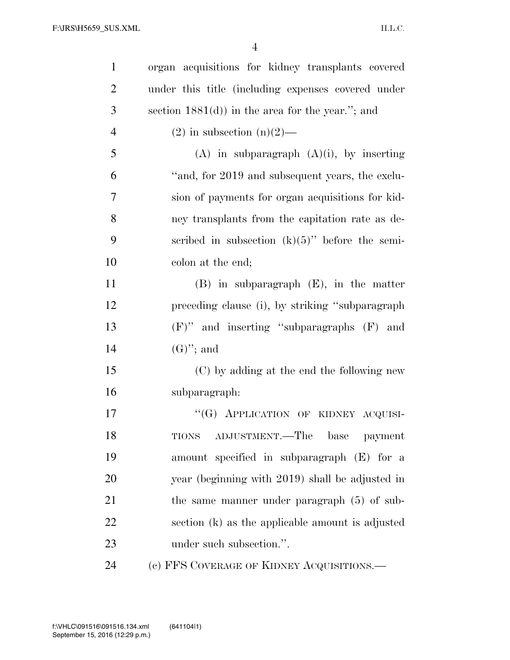| $\mathbf{1}$   | organ acquisitions for kidney transplants covered   |
|----------------|-----------------------------------------------------|
| $\overline{2}$ | under this title (including expenses covered under  |
| 3              | section $1881(d)$ ) in the area for the year."; and |
| $\overline{4}$ | $(2)$ in subsection $(n)(2)$ —                      |
| 5              | $(A)$ in subparagraph $(A)(i)$ , by inserting       |
| 6              | "and, for 2019 and subsequent years, the exclu-     |
| 7              | sion of payments for organ acquisitions for kid-    |
| 8              | ney transplants from the capitation rate as de-     |
| 9              | scribed in subsection $(k)(5)$ " before the semi-   |
| 10             | colon at the end;                                   |
| 11             | $(B)$ in subparagraph $(E)$ , in the matter         |
| 12             | preceding clause (i), by striking "subparagraph"    |
| 13             | $(F)$ " and inserting "subparagraphs $(F)$ and      |
| 14             | $(G)$ "; and                                        |
| 15             | (C) by adding at the end the following new          |
| 16             | subparagraph:                                       |
| 17             | "(G) APPLICATION OF KIDNEY ACQUISI-                 |
| 18             | ADJUSTMENT.—The<br><b>TIONS</b><br>base<br>payment  |
| 19             | amount specified in subparagraph (E) for a          |
| 20             | year (beginning with 2019) shall be adjusted in     |
| 21             | the same manner under paragraph $(5)$ of sub-       |
| 22             | section (k) as the applicable amount is adjusted    |
| 23             | under such subsection.".                            |
| 24             | (c) FFS COVERAGE OF KIDNEY ACQUISITIONS.—           |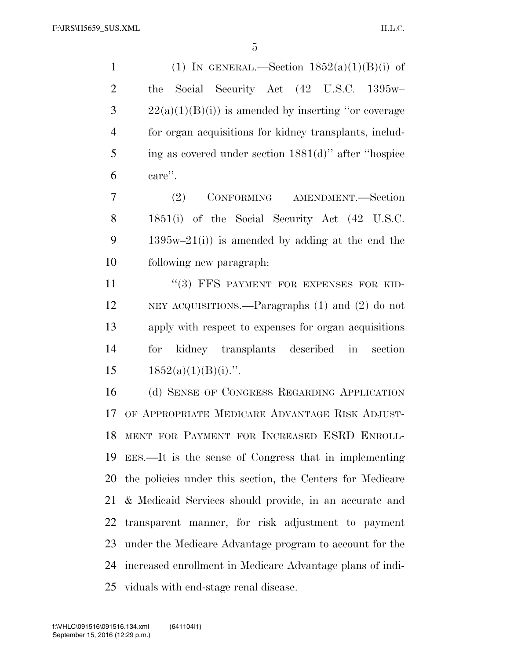1 (1) IN GENERAL.—Section  $1852(a)(1)(B)(i)$  of the Social Security Act (42 U.S.C. 1395w–  $3 \t22(a)(1)(B)(i)$  is amended by inserting "or coverage" for organ acquisitions for kidney transplants, includ- ing as covered under section 1881(d)'' after ''hospice care''.

 (2) CONFORMING AMENDMENT.—Section 1851(i) of the Social Security Act (42 U.S.C. 9 1395w–21(i)) is amended by adding at the end the following new paragraph:

11 "(3) FFS PAYMENT FOR EXPENSES FOR KID- NEY ACQUISITIONS.—Paragraphs (1) and (2) do not apply with respect to expenses for organ acquisitions for kidney transplants described in section  $1852(a)(1)(B)(i)$ .".

 (d) SENSE OF CONGRESS REGARDING APPLICATION OF APPROPRIATE MEDICARE ADVANTAGE RISK ADJUST- MENT FOR PAYMENT FOR INCREASED ESRD ENROLL- EES.—It is the sense of Congress that in implementing the policies under this section, the Centers for Medicare & Medicaid Services should provide, in an accurate and transparent manner, for risk adjustment to payment under the Medicare Advantage program to account for the increased enrollment in Medicare Advantage plans of indi-viduals with end-stage renal disease.